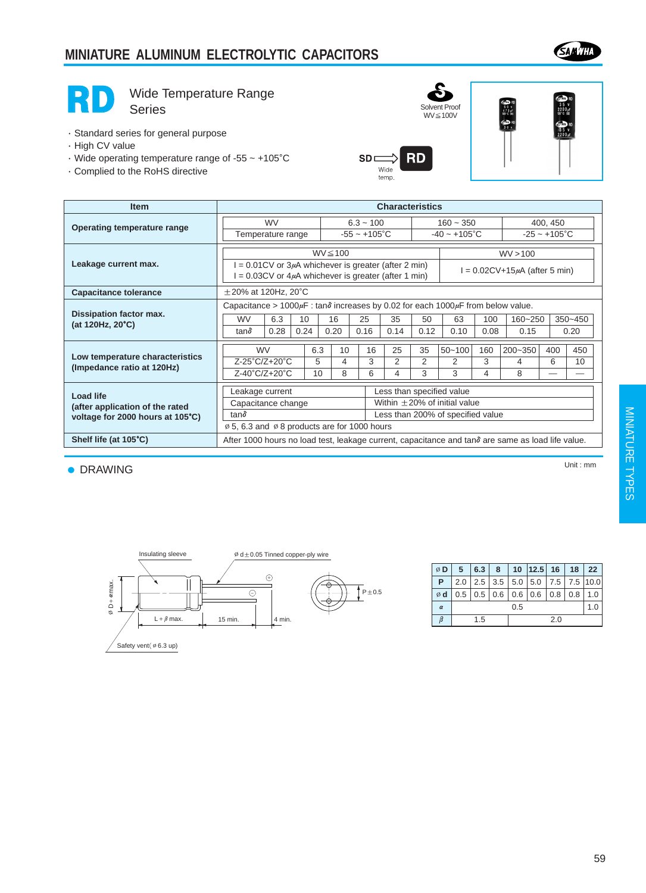## **MINIATURE ALUMINUM ELECTROLYTIC CAPACITORS**





Wide Temperature Range<br>Series

- ·Standard series for general purpose
- ·High CV value
- ·Wide operating temperature range of -55 ~ +105°C
- ·Complied to the RoHS directive



temp.

Solvent Proof

န



| <b>Item</b>                                                   | <b>Characteristics</b>                                                                                                      |      |      |             |                       |                                   |      |                                    |      |                        |     |             |
|---------------------------------------------------------------|-----------------------------------------------------------------------------------------------------------------------------|------|------|-------------|-----------------------|-----------------------------------|------|------------------------------------|------|------------------------|-----|-------------|
| Operating temperature range                                   | <b>WV</b>                                                                                                                   |      |      | $6.3 - 100$ |                       |                                   |      | $160 - 350$                        |      | 400, 450               |     |             |
|                                                               | Temperature range                                                                                                           |      |      |             | $-55 - +105^{\circ}C$ |                                   |      | $-40 \sim +105^{\circ}$ C          |      | $-25 - +105^{\circ}$ C |     |             |
|                                                               | $WV \le 100$<br>WV > 100                                                                                                    |      |      |             |                       |                                   |      |                                    |      |                        |     |             |
| Leakage current max.                                          | $I = 0.01$ CV or $3\mu A$ whichever is greater (after 2 min)<br>$I = 0.03CV$ or $4\mu A$ whichever is greater (after 1 min) |      |      |             |                       |                                   |      | $I = 0.02CV+15\mu A$ (after 5 min) |      |                        |     |             |
| <b>Capacitance tolerance</b>                                  | $\pm$ 20% at 120Hz, 20°C                                                                                                    |      |      |             |                       |                                   |      |                                    |      |                        |     |             |
|                                                               | Capacitance > $1000 \mu$ F: tan $\delta$ increases by 0.02 for each $1000 \mu$ F from below value.                          |      |      |             |                       |                                   |      |                                    |      |                        |     |             |
| Dissipation factor max.<br>(at 120Hz, 20°C)                   | 6.3<br><b>WV</b>                                                                                                            |      | 10   | 16          | 25                    | 35                                | 50   | 63                                 | 100  | 160~250                |     | $350 - 450$ |
|                                                               | tan $\delta$                                                                                                                | 0.28 | 0.24 | 0.20        | 0.16                  | 0.14                              | 0.12 | 0.10                               | 0.08 | 0.15                   |     | 0.20        |
|                                                               | <b>WV</b>                                                                                                                   |      | 6.3  | 10          | 16                    | 25                                | 35   | $50 - 100$                         | 160  | 200~350                | 400 | 450         |
| Low temperature characteristics<br>(Impedance ratio at 120Hz) | $Z-25^{\circ}C/Z+20^{\circ}C$                                                                                               |      | 5    | 4           | 3                     | 2                                 | 2    | 2                                  | 3    | 4                      | 6   | 10          |
|                                                               | $Z-40^{\circ}C/Z+20^{\circ}C$                                                                                               |      |      | 8<br>10     | 6                     | 4                                 | 3    | 3                                  | 4    | 8                      | -   |             |
| <b>Load life</b>                                              | Less than specified value<br>Leakage current                                                                                |      |      |             |                       |                                   |      |                                    |      |                        |     |             |
| (after application of the rated                               | Capacitance change                                                                                                          |      |      |             |                       | Within $\pm$ 20% of initial value |      |                                    |      |                        |     |             |
| voltage for 2000 hours at 105°C)                              | tan $\delta$<br>Less than 200% of specified value                                                                           |      |      |             |                       |                                   |      |                                    |      |                        |     |             |
|                                                               | ø 5, 6.3 and ø 8 products are for 1000 hours                                                                                |      |      |             |                       |                                   |      |                                    |      |                        |     |             |
| Shelf life (at 105°C)                                         | After 1000 hours no load test, leakage current, capacitance and tand are same as load life value.                           |      |      |             |                       |                                   |      |                                    |      |                        |     |             |

● DRAWING

Unit : mm



| ØD       |     |     | $5   6.3   8   10   12.5   16   18   22$ |     |                                                  |     |  |     |  |  |
|----------|-----|-----|------------------------------------------|-----|--------------------------------------------------|-----|--|-----|--|--|
|          |     |     |                                          |     | $2.0$   2.5   3.5   5.0   5.0   7.5   7.5   10.0 |     |  |     |  |  |
| ød       | 0.5 |     |                                          |     | $0.5$   0.6   0.6   0.6   0.8   0.8              |     |  | 1.0 |  |  |
| $\alpha$ |     |     |                                          | 0.5 |                                                  |     |  |     |  |  |
| $\beta$  |     | 1.5 |                                          |     |                                                  | 2.0 |  |     |  |  |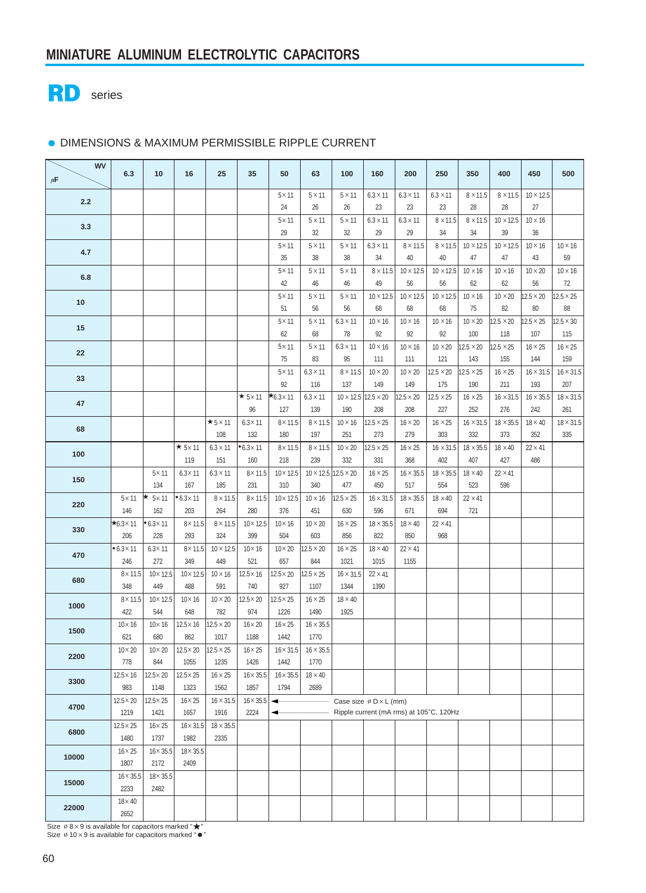

| <b>WV</b><br>$\mu$ F | 6.3                    | 10                    | 16                    | 25                    | 35                      | 50               | 63               | 100                               | 160                                     | 200              | 250              | 350              | 400              | 450              | 500              |
|----------------------|------------------------|-----------------------|-----------------------|-----------------------|-------------------------|------------------|------------------|-----------------------------------|-----------------------------------------|------------------|------------------|------------------|------------------|------------------|------------------|
| 2.2                  |                        |                       |                       |                       |                         | $5 \times 11$    | $5 \times 11$    | $5 \times 11$                     | $6.3 \times 11$                         | $6.3 \times 11$  | $6.3 \times 11$  | $8 \times 11.5$  | $8 \times 11.5$  | $10 \times 12.5$ |                  |
|                      |                        |                       |                       |                       |                         | 24               | 26               | 26                                | 23                                      | 23               | 23               | 28               | 28               | 27               |                  |
| 3.3                  |                        |                       |                       |                       |                         | $5 \times 11$    | $5 \times 11$    | $5 \times 11$                     | $6.3 \times 11$                         | $6.3 \times 11$  | $8 \times 11.5$  | $8 \times 11.5$  | $10 \times 12.5$ | $10 \times 16$   |                  |
|                      |                        |                       |                       |                       |                         | 29               | 32               | 32                                | 29                                      | 29               | 34               | 34               | 39               | 36               |                  |
| 4.7                  |                        |                       |                       |                       |                         | $5 \times 11$    | $5 \times 11$    | $5 \times 11$                     | $6.3 \times 11$                         | $8 \times 11.5$  | $8 \times 11.5$  | $10 \times 12.5$ | $10 \times 12.5$ | $10 \times 16$   | $10 \times 16$   |
|                      |                        |                       |                       |                       |                         | 35               | 38               | 38                                | 34                                      | 40               | 40               | 47               | 47               | 43               | 59               |
| 6.8                  |                        |                       |                       |                       |                         | $5 \times 11$    | $5 \times 11$    | $5 \times 11$                     | $8 \times 11.5$                         | $10 \times 12.5$ | $10 \times 12.5$ | $10 \times 16$   | $10 \times 16$   | $10 \times 20$   | $10 \times 16$   |
|                      |                        |                       |                       |                       |                         | 42               | 46               | 46                                | 49                                      | 56               | 56               | 62               | 62               | 56               | 72               |
| 10                   |                        |                       |                       |                       |                         | $5 \times 11$    | $5 \times 11$    | $5 \times 11$                     | $10 \times 12.5$                        | $10 \times 12.5$ | $10 \times 12.5$ | $10 \times 16$   | $10 \times 20$   | $12.5 \times 20$ | $12.5 \times 25$ |
|                      |                        |                       |                       |                       |                         | 51               | 56               | 56                                | 68                                      | 68               | 68               | 75               | 82               | 80               | 88               |
| 15                   |                        |                       |                       |                       |                         | $5 \times 11$    | $5 \times 11$    | $6.3 \times 11$                   | $10 \times 16$                          | $10 \times 16$   | $10 \times 16$   | $10 \times 20$   | 12.5 × 20        | $12.5 \times 25$ | $12.5 \times 30$ |
|                      |                        |                       |                       |                       |                         | 62               | 68               | 78                                | 92                                      | 92               | 92               | 100              | 118              | 107              | 115              |
| 22                   |                        |                       |                       |                       |                         | $5 \times 11$    | $5 \times 11$    | $6.3 \times 11$                   | $10 \times 16$                          | $10 \times 16$   | $10 \times 20$   | $12.5 \times 20$ | 12.5 × 25        | $16 \times 25$   | $16 \times 25$   |
|                      |                        |                       |                       |                       |                         | 75               | 83               | 95                                | 111                                     | 111              | 121              | 143              | 155              | 144              | 159              |
| 33                   |                        |                       |                       |                       |                         | $5 \times 11$    | $6.3 \times 11$  | $8 \times 11.5$                   | $10 \times 20$                          | $10 \times 20$   | $12.5 \times 20$ | $12.5 \times 25$ | $16 \times 25$   | $16 \times 31.5$ | $16 \times 31.5$ |
|                      |                        |                       |                       |                       |                         | 92               | 116              | 137                               | 149                                     | 149              | 175              | 190              | 211              | 193              | 207              |
| 47                   |                        |                       |                       |                       | $\star$ 5 $\times$ 11   | $\star$ 6.3×11   | $6.3 \times 11$  |                                   | $10 \times 12.5$ 12.5 $\times$ 20       | $12.5 \times 20$ | $12.5 \times 25$ | $16 \times 25$   | $16 \times 31.5$ | $16 \times 35.5$ | $18 \times 31.5$ |
|                      |                        |                       |                       |                       | 96                      | 127              | 139              | 190                               | 208                                     | 208              | 227              | 252              | 276              | 242              | 261              |
| 68                   |                        |                       |                       | $\star$ 5 $\times$ 11 | $6.3 \times 11$         | $8 \times 11.5$  | $8 \times 11.5$  | $10 \times 16$                    | $12.5 \times 25$                        | $16 \times 20$   | $16 \times 25$   | $16 \times 31.5$ | 18 × 35.5        | $18 \times 40$   | $18 \times 31.5$ |
|                      |                        |                       |                       | 108                   | 132                     | 180              | 197              | 251                               | 273                                     | 279              | 303              | 332              | 373              | 352              | 335              |
| 100                  |                        |                       | $\star$ 5 $\times$ 11 | $6.3 \times 11$       | $\cdot$ 6.3 $\times$ 11 | $8 \times 11.5$  | $8 \times 11.5$  | $10 \times 20$                    | $12.5 \times 25$                        | $16 \times 25$   | $16 \times 31.5$ | $18 \times 35.5$ | $18 \times 40$   | $22 \times 41$   |                  |
| 150                  |                        |                       | 119                   | 151                   | 160                     | 218              | 239              | 332                               | 331                                     | 368              | 402              | 407              | 427              | 486              |                  |
|                      |                        | $5 \times 11$         | $6.3 \times 11$       | $6.3 \times 11$       | $8 \times 11.5$         | $10 \times 12.5$ |                  | $10 \times 12.5$ 12.5 $\times$ 20 | $16 \times 25$                          | $16 \times 35.5$ | $18 \times 35.5$ | $18 \times 40$   | $22 \times 41$   |                  |                  |
|                      |                        | 134                   | 167                   | 185                   | 231                     | 310              | 340              | 477                               | 450                                     | 517              | 554              | 523              | 596              |                  |                  |
| 220                  | $5 \times 11$          | $\star$ 5 $\times$ 11 | $• 6.3 \times 11$     | $8 \times 11.5$       | $8 \times 11.5$         | $10 \times 12.5$ | $10 \times 16$   | $12.5 \times 25$                  | $16 \times 31.5$                        | $18 \times 35.5$ | $18 \times 40$   | $22 \times 41$   |                  |                  |                  |
|                      | 146                    | 162                   | 203                   | 264                   | 280                     | 376              | 451              | 630                               | 596                                     | 671              | 694              | 721              |                  |                  |                  |
| 330                  | $\star$ 6.3×11         | $• 6.3 \times 11$     | $8 \times 11.5$       | $8 \times 11.5$       | $10 \times 12.5$        | $10 \times 16$   | $10 \times 20$   | $16 \times 25$                    | $18 \times 35.5$                        | $18 \times 40$   | $22 \times 41$   |                  |                  |                  |                  |
|                      | 206                    | 228                   | 293                   | 324                   | 399                     | 504              | 603              | 856                               | 822                                     | 850              | 968              |                  |                  |                  |                  |
| 470                  | $• 6.3 \times 11$      | $6.3 \times 11$       | $8\times 11.5$        | $10 \times 12.5$      | $10 \times 16$          | $10 \times 20$   | $12.5 \times 20$ | $16 \times 25$                    | $18 \times 40$                          | $22 \times 41$   |                  |                  |                  |                  |                  |
|                      | 246                    | 272                   | 349                   | 449                   | 521                     | 657              | 844              | 1021                              | 1015                                    | 1155             |                  |                  |                  |                  |                  |
| 680                  | $8 \times 11.5$        | 10×12.5               | $10 \times 12.5$      | $10 \times 16$        | $12.5 \times 16$        | $12.5 \times 20$ | $12.5 \times 25$ | $16 \times 31.5$                  | $22 \times 41$                          |                  |                  |                  |                  |                  |                  |
|                      | 348                    | 449                   | 488                   | 591                   | 740                     | 927              | 1107             | 1344                              | 1390                                    |                  |                  |                  |                  |                  |                  |
| 1000                 | $8 \times 11.5$        | 10×12.5               | $10 \times 16$        | $10 \times 20$        | $12.5 \times 20$        | $12.5 \times 25$ | $16 \times 25$   | $18 \times 40$                    |                                         |                  |                  |                  |                  |                  |                  |
|                      | 422                    | 544                   | 648                   | 782                   | 974                     | 1226             | 1490             | 1925                              |                                         |                  |                  |                  |                  |                  |                  |
| 1500                 | $10 \times 16$         | $10 \times 16$        | $12.5 \times 16$      | $12.5 \times 20$      | $16 \times 20$          | $16 \times 25$   | $16 \times 35.5$ |                                   |                                         |                  |                  |                  |                  |                  |                  |
|                      | 621                    | 680                   | 862                   | 1017                  | 1188                    | 1442             | 1770             |                                   |                                         |                  |                  |                  |                  |                  |                  |
| 2200                 | $10 \times 20$         | $10 \times 20$        | $12.5 \times 20$      | $12.5 \times 25$      | $16 \times 25$          | $16 \times 31.5$ | $16 \times 35.5$ |                                   |                                         |                  |                  |                  |                  |                  |                  |
|                      | 778                    | 844                   | 1055                  | 1235                  | 1426                    | 1442             | 1770             |                                   |                                         |                  |                  |                  |                  |                  |                  |
| 3300                 | $12.5 \times 16$       | $12.5 \times 20$      | $12.5 \times 25$      | $16 \times 25$        | $16 \times 35.5$        | $16 \times 35.5$ | $18 \times 40$   |                                   |                                         |                  |                  |                  |                  |                  |                  |
|                      | 983                    | 1148                  | 1323                  | 1562                  | 1857                    | 1794             | 2689             |                                   |                                         |                  |                  |                  |                  |                  |                  |
| 4700                 | $12.5 \times 20$       | $12.5 \times 25$      | $16 \times 25$        | $16 \times 31.5$      | $16 \times 35.5$        | ◄                |                  |                                   | Case size $\emptyset$ D $\times$ L (mm) |                  |                  |                  |                  |                  |                  |
|                      | 1219                   | 1421                  | 1657                  | 1916                  | 2224                    | ◀                |                  |                                   | Ripple current (mA rms) at 105°C, 120Hz |                  |                  |                  |                  |                  |                  |
| 6800                 | $12.5 \times 25$       | $16 \times 25$        | $16 \times 31.5$      | $18 \times 35.5$      |                         |                  |                  |                                   |                                         |                  |                  |                  |                  |                  |                  |
|                      | 1480                   | 1737                  | 1982                  | 2335                  |                         |                  |                  |                                   |                                         |                  |                  |                  |                  |                  |                  |
| 10000                | $16 \times 25$         | $16 \times 35.5$      | $18 \times 35.5$      |                       |                         |                  |                  |                                   |                                         |                  |                  |                  |                  |                  |                  |
|                      | 1807                   | 2172                  | 2409                  |                       |                         |                  |                  |                                   |                                         |                  |                  |                  |                  |                  |                  |
| 15000                | $16 \times 35.5$       | 18×35.5               |                       |                       |                         |                  |                  |                                   |                                         |                  |                  |                  |                  |                  |                  |
|                      | 2233                   | 2482                  |                       |                       |                         |                  |                  |                                   |                                         |                  |                  |                  |                  |                  |                  |
| 22000                | $18 \times 40$<br>2652 |                       |                       |                       |                         |                  |                  |                                   |                                         |                  |                  |                  |                  |                  |                  |

## **.** DIMENSIONS & MAXIMUM PERMISSIBLE RIPPLE CURRENT

Size ø8×9 is available for capacitors marked "★"<br>Size ø10×9 is available for capacitors marked "●"